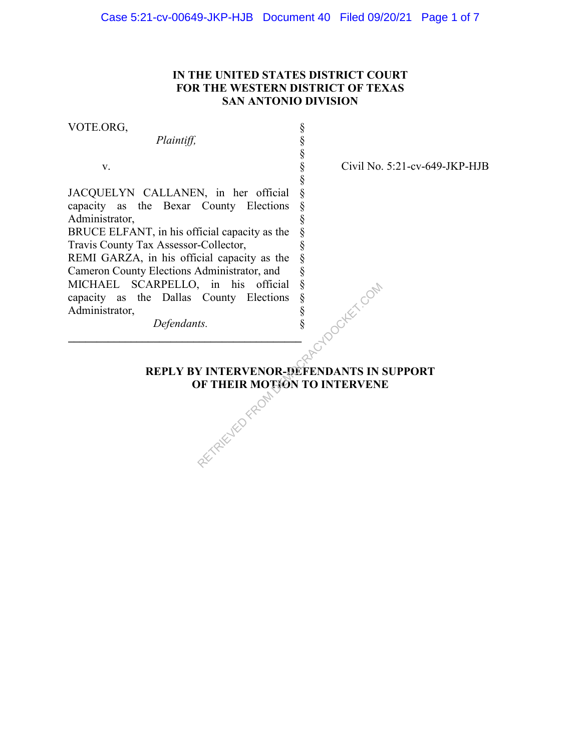# **IN THE UNITED STATES DISTRICT COURT FOR THE WESTERN DISTRICT OF TEXAS SAN ANTONIO DIVISION**

§ § § § § § § § § § § § § § § §

VOTE.ORG,

*Plaintiff,*

v.

JACQUELYN CALLANEN, in her official capacity as the Bexar County Elections Administrator,

BRUCE ELFANT, in his official capacity as the Travis County Tax Assessor-Collector,

REMI GARZA, in his official capacity as the Cameron County Elections Administrator, and MICHAEL SCARPELLO, in his official capacity as the Dallas County Elections Administrator,

Civil No. 5:21-cv-649-JKP-HJB

 *Defendants.* **\_\_\_\_\_\_\_\_\_\_\_\_\_\_\_\_\_\_\_\_\_\_\_\_\_\_\_\_\_\_\_\_\_\_\_\_\_\_\_\_\_** 

**REPLY BY INTERVENOR-DEFENDANTS IN SUPPORT**<br>
OF THEIR MOTON TO INTERVENE **OF THEIR MOTION TO INTERVENE**  $R$  County Elections  $\frac{8}{3}$ <br>  $\frac{8}{3}$ <br>  $R$  INTERVENOR-DEFENDANTS IN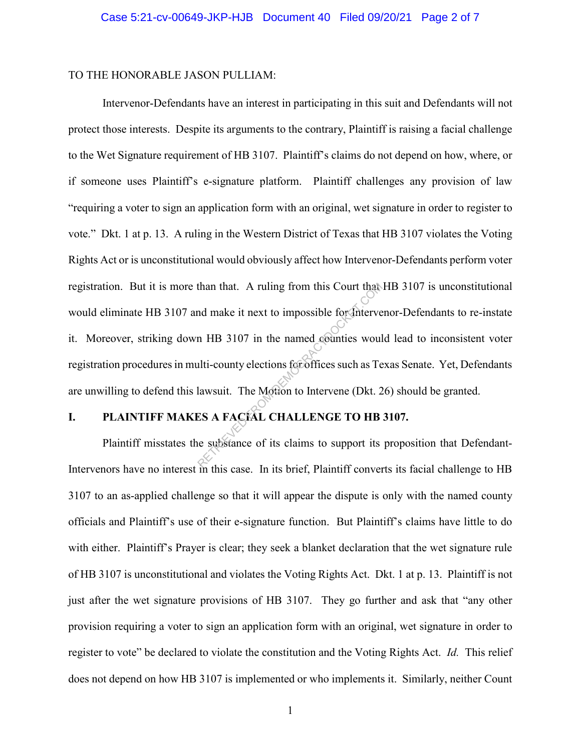#### TO THE HONORABLE JASON PULLIAM:

Intervenor-Defendants have an interest in participating in this suit and Defendants will not protect those interests. Despite its arguments to the contrary, Plaintiff is raising a facial challenge to the Wet Signature requirement of HB 3107. Plaintiff's claims do not depend on how, where, or if someone uses Plaintiff's e-signature platform. Plaintiff challenges any provision of law "requiring a voter to sign an application form with an original, wet signature in order to register to vote." Dkt. 1 at p. 13. A ruling in the Western District of Texas that HB 3107 violates the Voting Rights Act or is unconstitutional would obviously affect how Intervenor-Defendants perform voter registration. But it is more than that. A ruling from this Court that HB 3107 is unconstitutional would eliminate HB 3107 and make it next to impossible for Intervenor-Defendants to re-instate it. Moreover, striking down HB 3107 in the named counties would lead to inconsistent voter registration procedures in multi-county elections for offices such as Texas Senate. Yet, Defendants are unwilling to defend this lawsuit. The Motion to Intervene (Dkt. 26) should be granted. than that. A ruling from this Court that<br>
and make it next to impossible for the revolution<br>
In HB 3107 in the named counties woul<br>
liti-county elections for offices such as Te<br>
lawsuit. The Motion to Intervene (Dkt. 2<br>
ES

## **I. PLAINTIFF MAKES A FACIAL CHALLENGE TO HB 3107.**

Plaintiff misstates the substance of its claims to support its proposition that Defendant-Intervenors have no interest in this case. In its brief, Plaintiff converts its facial challenge to HB 3107 to an as-applied challenge so that it will appear the dispute is only with the named county officials and Plaintiff's use of their e-signature function. But Plaintiff's claims have little to do with either. Plaintiff's Prayer is clear; they seek a blanket declaration that the wet signature rule of HB 3107 is unconstitutional and violates the Voting Rights Act. Dkt. 1 at p. 13. Plaintiff is not just after the wet signature provisions of HB 3107. They go further and ask that "any other provision requiring a voter to sign an application form with an original, wet signature in order to register to vote" be declared to violate the constitution and the Voting Rights Act. *Id.* This relief does not depend on how HB 3107 is implemented or who implements it. Similarly, neither Count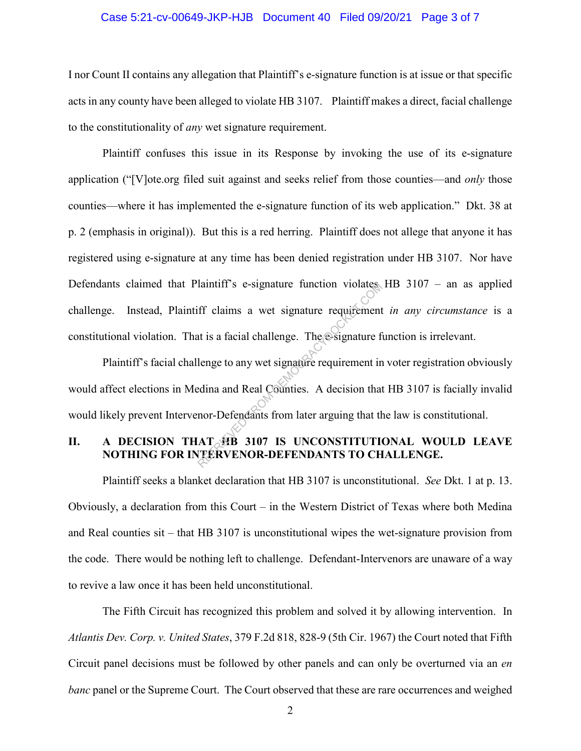#### Case 5:21-cv-00649-JKP-HJB Document 40 Filed 09/20/21 Page 3 of 7

I nor Count II contains any allegation that Plaintiff's e-signature function is at issue or that specific acts in any county have been alleged to violate HB 3107. Plaintiff makes a direct, facial challenge to the constitutionality of *any* wet signature requirement.

Plaintiff confuses this issue in its Response by invoking the use of its e-signature application ("[V]ote.org filed suit against and seeks relief from those counties—and *only* those counties—where it has implemented the e-signature function of its web application." Dkt. 38 at p. 2 (emphasis in original)). But this is a red herring. Plaintiff does not allege that anyone it has registered using e-signature at any time has been denied registration under HB 3107. Nor have Defendants claimed that Plaintiff's e-signature function violates HB 3107 – an as applied challenge. Instead, Plaintiff claims a wet signature requirement *in any circumstance* is a constitutional violation. That is a facial challenge. The e-signature function is irrelevant.

Plaintiff's facial challenge to any wet signature requirement in voter registration obviously would affect elections in Medina and Real Counties. A decision that HB 3107 is facially invalid would likely prevent Intervenor-Defendants from later arguing that the law is constitutional. Transmall and Real Counties.<br>
The esignature requirement<br>
at is a facial challenge. The esignature f<br>
lenge to any wet signature requirement in<br>
redina and Real Counties. A decision that<br>
nor-Defendants from later arguing

# **II. A DECISION THAT HB 3107 IS UNCONSTITUTIONAL WOULD LEAVE NOTHING FOR INTERVENOR-DEFENDANTS TO CHALLENGE.**

Plaintiff seeks a blanket declaration that HB 3107 is unconstitutional. *See* Dkt. 1 at p. 13. Obviously, a declaration from this Court – in the Western District of Texas where both Medina and Real counties sit – that HB 3107 is unconstitutional wipes the wet-signature provision from the code. There would be nothing left to challenge. Defendant-Intervenors are unaware of a way to revive a law once it has been held unconstitutional.

The Fifth Circuit has recognized this problem and solved it by allowing intervention. In *Atlantis Dev. Corp. v. United States*, 379 F.2d 818, 828-9 (5th Cir. 1967) the Court noted that Fifth Circuit panel decisions must be followed by other panels and can only be overturned via an *en banc* panel or the Supreme Court. The Court observed that these are rare occurrences and weighed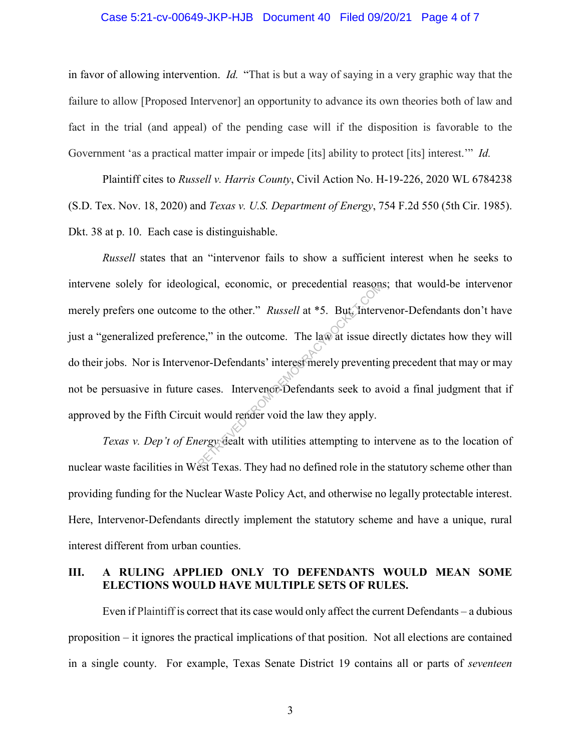#### Case 5:21-cv-00649-JKP-HJB Document 40 Filed 09/20/21 Page 4 of 7

in favor of allowing intervention. *Id.* "That is but a way of saying in a very graphic way that the failure to allow [Proposed Intervenor] an opportunity to advance its own theories both of law and fact in the trial (and appeal) of the pending case will if the disposition is favorable to the Government 'as a practical matter impair or impede [its] ability to protect [its] interest.'" *Id.* 

Plaintiff cites to *Russell v. Harris County*, Civil Action No. H-19-226, 2020 WL 6784238 (S.D. Tex. Nov. 18, 2020) and *Texas v. U.S. Department of Energy*, 754 F.2d 550 (5th Cir. 1985). Dkt. 38 at p. 10. Each case is distinguishable.

*Russell* states that an "intervenor fails to show a sufficient interest when he seeks to intervene solely for ideological, economic, or precedential reasons; that would-be intervenor merely prefers one outcome to the other." *Russell* at \*5. But, Intervenor-Defendants don't have just a "generalized preference," in the outcome. The law at issue directly dictates how they will do their jobs. Nor is Intervenor-Defendants' interest merely preventing precedent that may or may not be persuasive in future cases. Intervenor-Defendants seek to avoid a final judgment that if approved by the Fifth Circuit would render void the law they apply. gical, economic, or precedential reason<br>to the other." *Russell* at \*5. But, linterv<br>ce," in the outcome. The law at issue divor-Defendants' interest merely preventin<br>cases. Intervence-Defendants seek to average the world

*Texas v. Dep't of Energy* dealt with utilities attempting to intervene as to the location of nuclear waste facilities in West Texas. They had no defined role in the statutory scheme other than providing funding for the Nuclear Waste Policy Act, and otherwise no legally protectable interest. Here, Intervenor-Defendants directly implement the statutory scheme and have a unique, rural interest different from urban counties.

## **III. A RULING APPLIED ONLY TO DEFENDANTS WOULD MEAN SOME ELECTIONS WOULD HAVE MULTIPLE SETS OF RULES.**

Even if Plaintiff is correct that its case would only affect the current Defendants – a dubious proposition – it ignores the practical implications of that position. Not all elections are contained in a single county. For example, Texas Senate District 19 contains all or parts of *seventeen*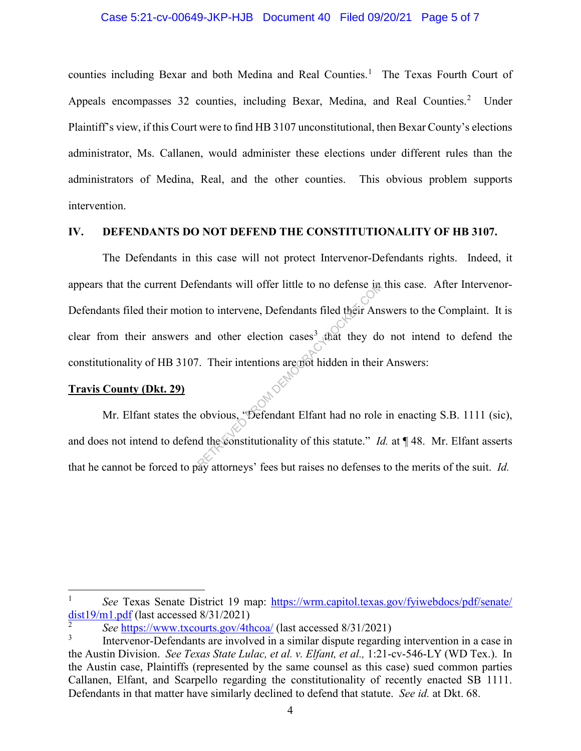#### Case 5:21-cv-00649-JKP-HJB Document 40 Filed 09/20/21 Page 5 of 7

counties including Bexar and both Medina and Real Counties.<sup>1</sup> The Texas Fourth Court of Appeals encompasses 32 counties, including Bexar, Medina, and Real Counties.<sup>2</sup> Under Plaintiff's view, if this Court were to find HB 3107 unconstitutional, then Bexar County's elections administrator, Ms. Callanen, would administer these elections under different rules than the administrators of Medina, Real, and the other counties. This obvious problem supports intervention.

#### **IV. DEFENDANTS DO NOT DEFEND THE CONSTITUTIONALITY OF HB 3107.**

The Defendants in this case will not protect Intervenor-Defendants rights. Indeed, it appears that the current Defendants will offer little to no defense in this case. After Intervenor-Defendants filed their motion to intervene, Defendants filed their Answers to the Complaint. It is clear from their answers and other election cases<sup>3</sup> that they do not intend to defend the constitutionality of HB 3107. Their intentions are not hidden in their Answers: endants will offer little to no defense in<br>
n to intervene, Defendants filed their Ans<br>
and other election cases<sup>3</sup> that they do<br>
. Their intentions are not hidden in their<br>
. Their intentions are not hidden in their<br>
obvi

## **Travis County (Dkt. 29)**

l

Mr. Elfant states the obvious, "Defendant Elfant had no role in enacting S.B. 1111 (sic), and does not intend to defend the constitutionality of this statute." *Id.* at ¶48. Mr. Elfant asserts that he cannot be forced to pay attorneys' fees but raises no defenses to the merits of the suit. *Id.*

<sup>1</sup> *See* Texas Senate District 19 map: https://wrm.capitol.texas.gov/fyiwebdocs/pdf/senate/ dist $19/m1$ .pdf (last accessed  $8/31/2021$ )

<sup>2</sup> *See* https://www.txcourts.gov/4thcoa/ (last accessed 8/31/2021)

<sup>3</sup> Intervenor-Defendants are involved in a similar dispute regarding intervention in a case in the Austin Division. *See Texas State Lulac, et al. v. Elfant, et al.,* 1:21-cv-546-LY (WD Tex.). In the Austin case, Plaintiffs (represented by the same counsel as this case) sued common parties Callanen, Elfant, and Scarpello regarding the constitutionality of recently enacted SB 1111. Defendants in that matter have similarly declined to defend that statute. *See id.* at Dkt. 68.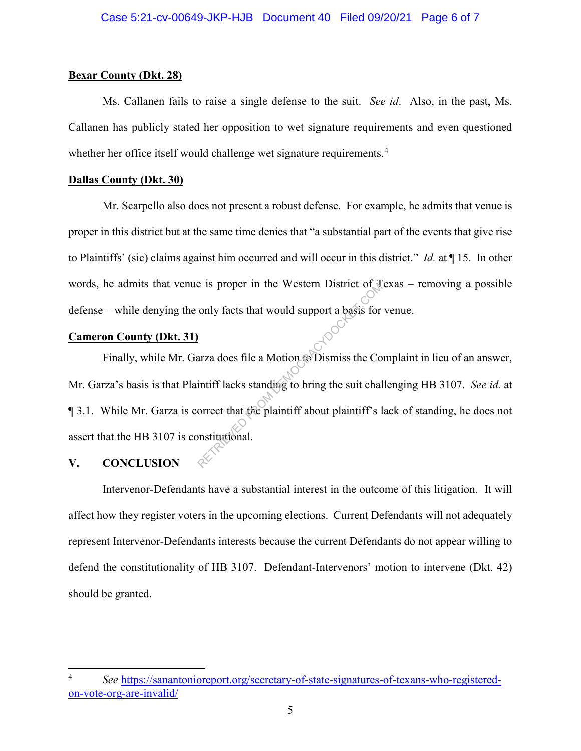## **Bexar County (Dkt. 28)**

Ms. Callanen fails to raise a single defense to the suit. *See id*. Also, in the past, Ms. Callanen has publicly stated her opposition to wet signature requirements and even questioned whether her office itself would challenge wet signature requirements.<sup>4</sup>

## **Dallas County (Dkt. 30)**

Mr. Scarpello also does not present a robust defense. For example, he admits that venue is proper in this district but at the same time denies that "a substantial part of the events that give rise to Plaintiffs' (sic) claims against him occurred and will occur in this district." *Id.* at ¶ 15. In other words, he admits that venue is proper in the Western District of Texas – removing a possible defense – while denying the only facts that would support a basis for venue.

# **Cameron County (Dkt. 31)**

Finally, while Mr. Garza does file a Motion to Dismiss the Complaint in lieu of an answer, Mr. Garza's basis is that Plaintiff lacks standing to bring the suit challenging HB 3107. *See id.* at ¶ 3.1. While Mr. Garza is correct that the plaintiff about plaintiff's lack of standing, he does not assert that the HB 3107 is constitutional. Return of the Western District of the Mostern District of the only facts that would support a basis for<br>any a does file a Motion to Dismiss the Committeen and Motion to Dismiss the Committeen in the plaintiff about plainti

# **V. CONCLUSION**

 $\overline{a}$ 

Intervenor-Defendants have a substantial interest in the outcome of this litigation. It will affect how they register voters in the upcoming elections. Current Defendants will not adequately represent Intervenor-Defendants interests because the current Defendants do not appear willing to defend the constitutionality of HB 3107. Defendant-Intervenors' motion to intervene (Dkt. 42) should be granted.

<sup>4</sup> *See* https://sanantonioreport.org/secretary-of-state-signatures-of-texans-who-registeredon-vote-org-are-invalid/